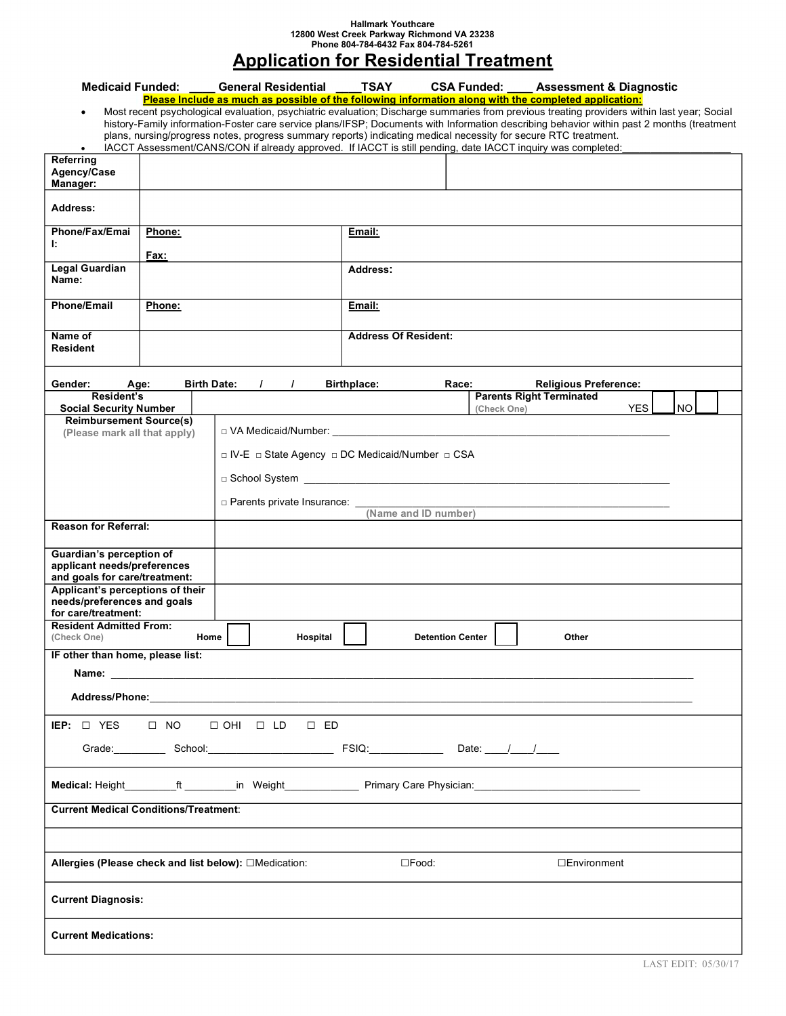## **Hallmark Youthcare 12800 West Creek Parkway Richmond VA 23238 Phone 804-784-6432 Fax 804-784-5261**

## **Application for Residential Treatment**

|                                                                                                                                                                                                                                                                                                                                                                                                                                                                                                                                                                                                                                                  |                |                    | Medicaid Funded: General Residential TSAY        |                             |  |                         |             | <b>CSA Funded:</b> Assessment & Diagnostic |                         |  |  |
|--------------------------------------------------------------------------------------------------------------------------------------------------------------------------------------------------------------------------------------------------------------------------------------------------------------------------------------------------------------------------------------------------------------------------------------------------------------------------------------------------------------------------------------------------------------------------------------------------------------------------------------------------|----------------|--------------------|--------------------------------------------------|-----------------------------|--|-------------------------|-------------|--------------------------------------------|-------------------------|--|--|
| Please Include as much as possible of the following information along with the completed application:<br>Most recent psychological evaluation, psychiatric evaluation; Discharge summaries from previous treating providers within last year; Social<br>$\bullet$<br>history-Family information-Foster care service plans/IFSP; Documents with Information describing behavior within past 2 months (treatment<br>plans, nursing/progress notes, progress summary reports) indicating medical necessity for secure RTC treatment.<br>IACCT Assessment/CANS/CON if already approved. If IACCT is still pending, date IACCT inquiry was completed: |                |                    |                                                  |                             |  |                         |             |                                            |                         |  |  |
| Referring<br>Agency/Case<br>Manager:                                                                                                                                                                                                                                                                                                                                                                                                                                                                                                                                                                                                             |                |                    |                                                  |                             |  |                         |             |                                            |                         |  |  |
| <b>Address:</b>                                                                                                                                                                                                                                                                                                                                                                                                                                                                                                                                                                                                                                  |                |                    |                                                  |                             |  |                         |             |                                            |                         |  |  |
| Phone/Fax/Emai<br>Ŀ.                                                                                                                                                                                                                                                                                                                                                                                                                                                                                                                                                                                                                             | Phone:<br>Fax: |                    |                                                  | Email:                      |  |                         |             |                                            |                         |  |  |
| <b>Legal Guardian</b><br>Name:                                                                                                                                                                                                                                                                                                                                                                                                                                                                                                                                                                                                                   |                |                    |                                                  | Address:                    |  |                         |             |                                            |                         |  |  |
| <b>Phone/Email</b>                                                                                                                                                                                                                                                                                                                                                                                                                                                                                                                                                                                                                               | Phone:         |                    |                                                  | Email:                      |  |                         |             |                                            |                         |  |  |
| Name of<br>Resident                                                                                                                                                                                                                                                                                                                                                                                                                                                                                                                                                                                                                              |                |                    |                                                  | <b>Address Of Resident:</b> |  |                         |             |                                            |                         |  |  |
| Gender:                                                                                                                                                                                                                                                                                                                                                                                                                                                                                                                                                                                                                                          | Age:           | <b>Birth Date:</b> | $\prime$<br>$\prime$                             | <b>Birthplace:</b>          |  | Race:                   |             | <b>Religious Preference:</b>               |                         |  |  |
| Resident's<br><b>Social Security Number</b>                                                                                                                                                                                                                                                                                                                                                                                                                                                                                                                                                                                                      |                |                    |                                                  |                             |  |                         | (Check One) | <b>Parents Right Terminated</b>            | <b>NO</b><br><b>YES</b> |  |  |
| <b>Reimbursement Source(s)</b>                                                                                                                                                                                                                                                                                                                                                                                                                                                                                                                                                                                                                   |                |                    |                                                  |                             |  |                         |             |                                            |                         |  |  |
| (Please mark all that apply)                                                                                                                                                                                                                                                                                                                                                                                                                                                                                                                                                                                                                     |                |                    |                                                  |                             |  |                         |             |                                            |                         |  |  |
|                                                                                                                                                                                                                                                                                                                                                                                                                                                                                                                                                                                                                                                  |                |                    | □ IV-E □ State Agency □ DC Medicaid/Number □ CSA |                             |  |                         |             |                                            |                         |  |  |
|                                                                                                                                                                                                                                                                                                                                                                                                                                                                                                                                                                                                                                                  |                |                    |                                                  |                             |  |                         |             |                                            |                         |  |  |
|                                                                                                                                                                                                                                                                                                                                                                                                                                                                                                                                                                                                                                                  |                |                    |                                                  |                             |  |                         |             |                                            |                         |  |  |
|                                                                                                                                                                                                                                                                                                                                                                                                                                                                                                                                                                                                                                                  |                |                    |                                                  |                             |  |                         |             |                                            |                         |  |  |
| <b>Reason for Referral:</b>                                                                                                                                                                                                                                                                                                                                                                                                                                                                                                                                                                                                                      |                |                    |                                                  |                             |  |                         |             |                                            |                         |  |  |
| Guardian's perception of<br>applicant needs/preferences<br>and goals for care/treatment:                                                                                                                                                                                                                                                                                                                                                                                                                                                                                                                                                         |                |                    |                                                  |                             |  |                         |             |                                            |                         |  |  |
| Applicant's perceptions of their<br>needs/preferences and goals<br>for care/treatment:                                                                                                                                                                                                                                                                                                                                                                                                                                                                                                                                                           |                |                    |                                                  |                             |  |                         |             |                                            |                         |  |  |
| <b>Resident Admitted From:</b><br>(Check One)                                                                                                                                                                                                                                                                                                                                                                                                                                                                                                                                                                                                    | Home           |                    | Hospital                                         |                             |  | <b>Detention Center</b> |             | Other                                      |                         |  |  |
| IF other than home, please list:                                                                                                                                                                                                                                                                                                                                                                                                                                                                                                                                                                                                                 |                |                    |                                                  |                             |  |                         |             |                                            |                         |  |  |
|                                                                                                                                                                                                                                                                                                                                                                                                                                                                                                                                                                                                                                                  |                |                    |                                                  |                             |  |                         |             |                                            |                         |  |  |
|                                                                                                                                                                                                                                                                                                                                                                                                                                                                                                                                                                                                                                                  |                |                    |                                                  |                             |  |                         |             |                                            |                         |  |  |
| IEP: $\Box$ YES $\Box$ NO<br>$\Box$ OHI $\Box$ LD<br>$\square$ ED                                                                                                                                                                                                                                                                                                                                                                                                                                                                                                                                                                                |                |                    |                                                  |                             |  |                         |             |                                            |                         |  |  |
| Grade: School: School: FSIQ: FSIQ: Date: / /                                                                                                                                                                                                                                                                                                                                                                                                                                                                                                                                                                                                     |                |                    |                                                  |                             |  |                         |             |                                            |                         |  |  |
| Medical: Height____________ft__________in Weight______________Primary Care Physician:_________________________                                                                                                                                                                                                                                                                                                                                                                                                                                                                                                                                   |                |                    |                                                  |                             |  |                         |             |                                            |                         |  |  |
| <b>Current Medical Conditions/Treatment:</b>                                                                                                                                                                                                                                                                                                                                                                                                                                                                                                                                                                                                     |                |                    |                                                  |                             |  |                         |             |                                            |                         |  |  |
| Allergies (Please check and list below): □Medication:<br>$\square$ Food:<br>□Environment                                                                                                                                                                                                                                                                                                                                                                                                                                                                                                                                                         |                |                    |                                                  |                             |  |                         |             |                                            |                         |  |  |
|                                                                                                                                                                                                                                                                                                                                                                                                                                                                                                                                                                                                                                                  |                |                    |                                                  |                             |  |                         |             |                                            |                         |  |  |
| <b>Current Diagnosis:</b>                                                                                                                                                                                                                                                                                                                                                                                                                                                                                                                                                                                                                        |                |                    |                                                  |                             |  |                         |             |                                            |                         |  |  |
| <b>Current Medications:</b>                                                                                                                                                                                                                                                                                                                                                                                                                                                                                                                                                                                                                      |                |                    |                                                  |                             |  |                         |             |                                            |                         |  |  |